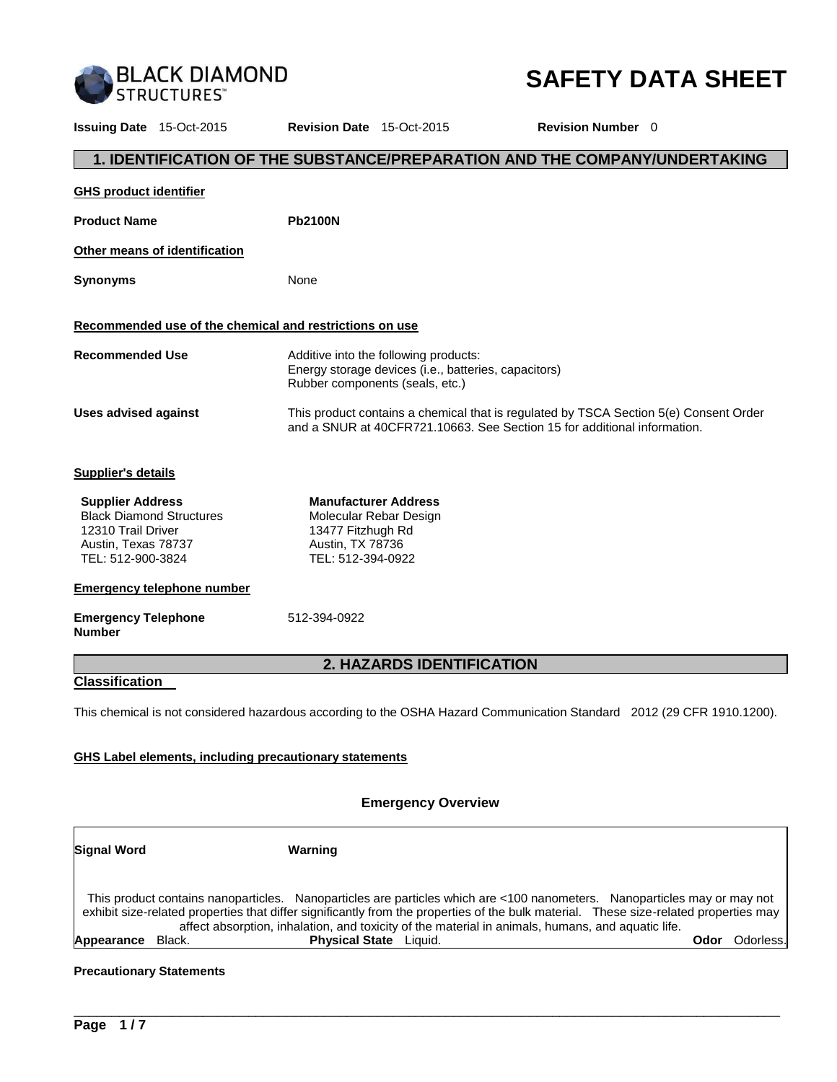

# **SAFETY DATA SHEET**

**Issuing Date** 15-Oct-2015 **Revision Date** 15-Oct-2015 **Revision Number** 0 **1. IDENTIFICATION OF THE SUBSTANCE/PREPARATION AND THE COMPANY/UNDERTAKING GHS product identifier** Product Name **Pb2100N Other means of identification Synonyms** None **Recommended use of the chemical and restrictions on use Recommended Use** Additive into the following products: Energy storage devices (i.e., batteries, capacitors) Rubber components (seals, etc.) **Uses advised against** This product contains a chemical that is regulated by TSCA Section 5(e) Consent Order and a SNUR at 40CFR721.10663. See Section 15 for additional information. **Supplier's details Supplier Address** Black Diamond Structures 12310 Trail Driver Austin, Texas 78737 TEL: 512-900-3824 **Manufacturer Address** Molecular Rebar Design 13477 Fitzhugh Rd Austin, TX 78736 TEL: 512-394-0922 **Emergency telephone number Emergency Telephone Number**  512-394-0922 **2. HAZARDS IDENTIFICATION Classification**  This chemical is not considered hazardous according to the OSHA Hazard Communication Standard 2012 (29 CFR 1910.1200). **GHS Label elements, including precautionary statements**

#### **Emergency Overview**

| <b>Signal Word</b> |        | Warning                                                                                                                                                                                                                                                                                                                                                                |      |            |
|--------------------|--------|------------------------------------------------------------------------------------------------------------------------------------------------------------------------------------------------------------------------------------------------------------------------------------------------------------------------------------------------------------------------|------|------------|
|                    |        | This product contains nanoparticles. Nanoparticles are particles which are <100 nanometers. Nanoparticles may or may not<br>exhibit size-related properties that differ significantly from the properties of the bulk material. These size-related properties may<br>affect absorption, inhalation, and toxicity of the material in animals, humans, and aquatic life. |      |            |
| Appearance         | Black. | <b>Physical State</b> Liquid.                                                                                                                                                                                                                                                                                                                                          | Odor | Odorless.l |

\_\_\_\_\_\_\_\_\_\_\_\_\_\_\_\_\_\_\_\_\_\_\_\_\_\_\_\_\_\_\_\_\_\_\_\_\_\_\_\_\_\_\_\_\_\_\_\_\_\_\_\_\_\_\_\_\_\_\_\_\_\_\_\_\_\_\_\_\_\_\_\_\_\_\_\_\_\_\_\_\_\_\_\_\_\_\_\_\_\_\_\_\_

#### **Precautionary Statements**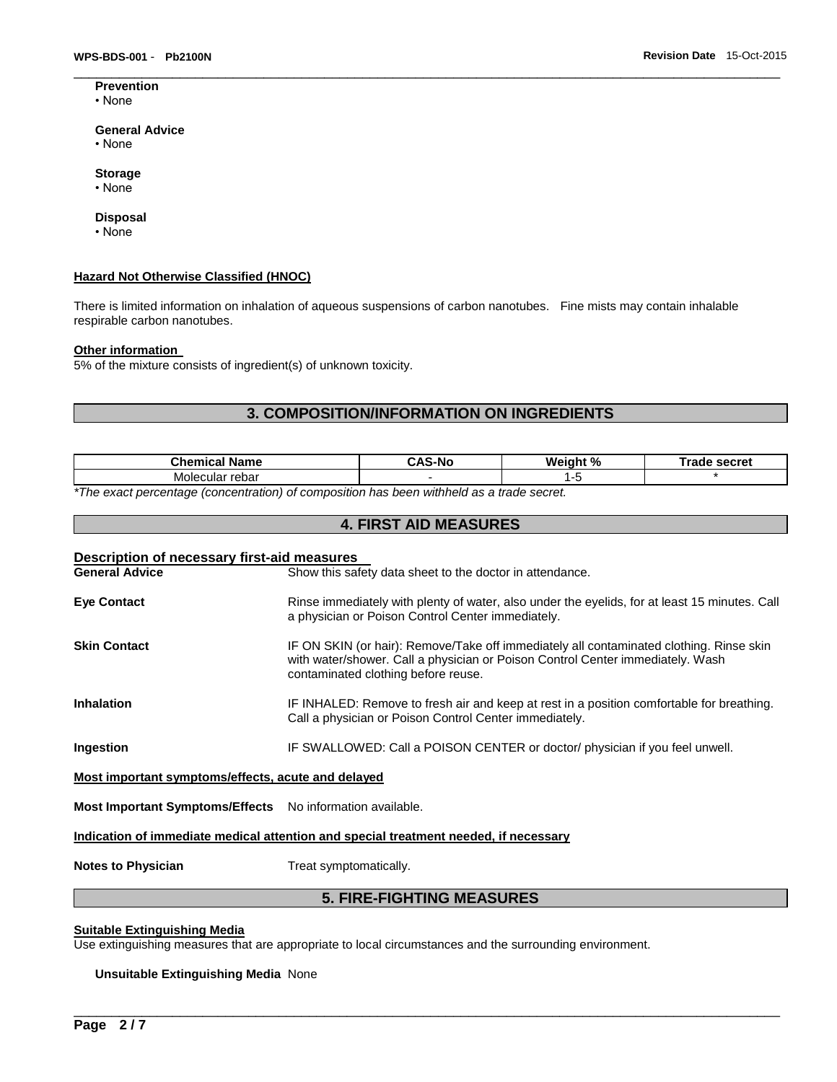**Prevention** • None

#### **General Advice**

- None
- **Storage**
- None

#### **Disposal**

• None

#### **Hazard Not Otherwise Classified (HNOC)**

There is limited information on inhalation of aqueous suspensions of carbon nanotubes. Fine mists may contain inhalable respirable carbon nanotubes.

#### **Other information**

5% of the mixture consists of ingredient(s) of unknown toxicity.

## **3. COMPOSITION/INFORMATION ON INGREDIENTS**

 $\Box$ 

| <b>Chemical Name</b>                                                                                       | -Nc | Weight % | secret<br>™rade |
|------------------------------------------------------------------------------------------------------------|-----|----------|-----------------|
| cular rebar<br>Moleo                                                                                       |     | . .      |                 |
| $\star$ The concentration from fractional of concentration has been initiated to a fund control of $\star$ |     |          |                 |

**4. FIRST AID MEASURES** 

*\*The exact percentage (concentration) of composition has been withheld as a trade secret.* 

| Description of necessary first-aid measures<br><b>General Advice</b>                 | Show this safety data sheet to the doctor in attendance.                                                                                                                                                         |  |  |
|--------------------------------------------------------------------------------------|------------------------------------------------------------------------------------------------------------------------------------------------------------------------------------------------------------------|--|--|
| <b>Eye Contact</b>                                                                   | Rinse immediately with plenty of water, also under the eyelids, for at least 15 minutes. Call<br>a physician or Poison Control Center immediately.                                                               |  |  |
| <b>Skin Contact</b>                                                                  | IF ON SKIN (or hair): Remove/Take off immediately all contaminated clothing. Rinse skin<br>with water/shower. Call a physician or Poison Control Center immediately. Wash<br>contaminated clothing before reuse. |  |  |
| <b>Inhalation</b>                                                                    | IF INHALED: Remove to fresh air and keep at rest in a position comfortable for breathing.<br>Call a physician or Poison Control Center immediately.                                                              |  |  |
| Ingestion                                                                            | IF SWALLOWED: Call a POISON CENTER or doctor/ physician if you feel unwell.                                                                                                                                      |  |  |
| Most important symptoms/effects, acute and delayed                                   |                                                                                                                                                                                                                  |  |  |
| <b>Most Important Symptoms/Effects</b> No information available.                     |                                                                                                                                                                                                                  |  |  |
| Indication of immediate medical attention and special treatment needed, if necessary |                                                                                                                                                                                                                  |  |  |

**Notes to Physician Treat symptomatically.** 

## **5. FIRE-FIGHTING MEASURES**

\_\_\_\_\_\_\_\_\_\_\_\_\_\_\_\_\_\_\_\_\_\_\_\_\_\_\_\_\_\_\_\_\_\_\_\_\_\_\_\_\_\_\_\_\_\_\_\_\_\_\_\_\_\_\_\_\_\_\_\_\_\_\_\_\_\_\_\_\_\_\_\_\_\_\_\_\_\_\_\_\_\_\_\_\_\_\_\_\_\_\_\_\_

## **Suitable Extinguishing Media**

Use extinguishing measures that are appropriate to local circumstances and the surrounding environment.

#### **Unsuitable Extinguishing Media** None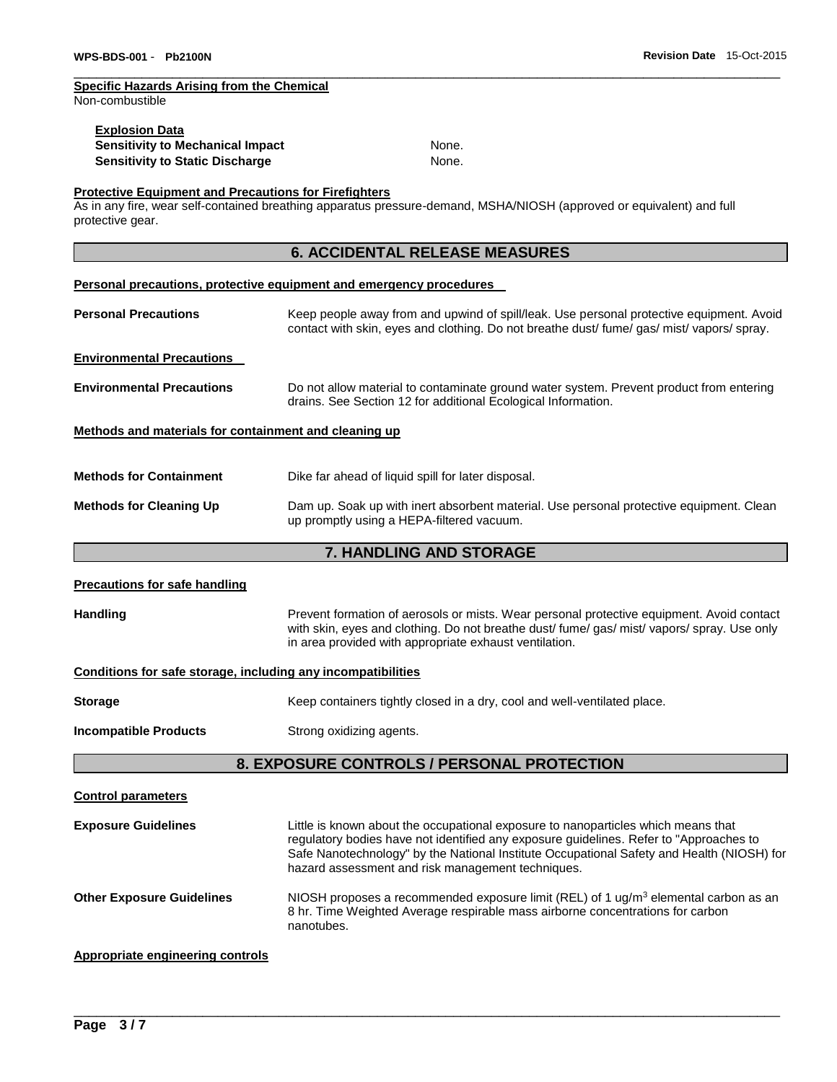## **Specific Hazards Arising from the Chemical**

Non-combustible

| <b>Explosion Data</b>            |       |
|----------------------------------|-------|
| Sensitivity to Mechanical Impact | None. |
| Sensitivity to Static Discharge  | None. |

 $\Box$ 

#### **Protective Equipment and Precautions for Firefighters**

As in any fire, wear self-contained breathing apparatus pressure-demand, MSHA/NIOSH (approved or equivalent) and full protective gear.

## **6. ACCIDENTAL RELEASE MEASURES**

#### **Personal precautions, protective equipment and emergency procedures**

| <b>Personal Precautions</b>                           | Keep people away from and upwind of spill/leak. Use personal protective equipment. Avoid<br>contact with skin, eyes and clothing. Do not breathe dust fume gas mist vapors spray. |
|-------------------------------------------------------|-----------------------------------------------------------------------------------------------------------------------------------------------------------------------------------|
| <b>Environmental Precautions</b>                      |                                                                                                                                                                                   |
| <b>Environmental Precautions</b>                      | Do not allow material to contaminate ground water system. Prevent product from entering<br>drains. See Section 12 for additional Ecological Information.                          |
| Methods and materials for containment and cleaning up |                                                                                                                                                                                   |
| <b>Methods for Containment</b>                        | Dike far ahead of liquid spill for later disposal.                                                                                                                                |
| <b>Methods for Cleaning Up</b>                        | Dam up. Soak up with inert absorbent material. Use personal protective equipment. Clean<br>up promptly using a HEPA-filtered vacuum.                                              |

## **7. HANDLING AND STORAGE**

| <b>Precautions for safe handling</b>                                                                                                                                                                                                                                  |                                                                                                                                                                                                                                                                                                                               |  |  |  |
|-----------------------------------------------------------------------------------------------------------------------------------------------------------------------------------------------------------------------------------------------------------------------|-------------------------------------------------------------------------------------------------------------------------------------------------------------------------------------------------------------------------------------------------------------------------------------------------------------------------------|--|--|--|
| <b>Handling</b><br>Prevent formation of aerosols or mists. Wear personal protective equipment. Avoid contact<br>with skin, eyes and clothing. Do not breathe dust/ fume/ gas/ mist/ vapors/ spray. Use only<br>in area provided with appropriate exhaust ventilation. |                                                                                                                                                                                                                                                                                                                               |  |  |  |
| Conditions for safe storage, including any incompatibilities                                                                                                                                                                                                          |                                                                                                                                                                                                                                                                                                                               |  |  |  |
| <b>Storage</b>                                                                                                                                                                                                                                                        | Keep containers tightly closed in a dry, cool and well-ventilated place.                                                                                                                                                                                                                                                      |  |  |  |
| <b>Incompatible Products</b><br>Strong oxidizing agents.                                                                                                                                                                                                              |                                                                                                                                                                                                                                                                                                                               |  |  |  |
| 8. EXPOSURE CONTROLS / PERSONAL PROTECTION                                                                                                                                                                                                                            |                                                                                                                                                                                                                                                                                                                               |  |  |  |
| <b>Control parameters</b>                                                                                                                                                                                                                                             |                                                                                                                                                                                                                                                                                                                               |  |  |  |
| <b>Exposure Guidelines</b>                                                                                                                                                                                                                                            | Little is known about the occupational exposure to nanoparticles which means that<br>regulatory bodies have not identified any exposure guidelines. Refer to "Approaches to<br>Safe Nanotechnology" by the National Institute Occupational Safety and Health (NIOSH) for<br>hazard assessment and risk management techniques. |  |  |  |
| <b>Other Exposure Guidelines</b>                                                                                                                                                                                                                                      | NIOSH proposes a recommended exposure limit (REL) of 1 $\mu$ g/m <sup>3</sup> elemental carbon as an<br>8 hr. Time Weighted Average respirable mass airborne concentrations for carbon<br>nanotubes.                                                                                                                          |  |  |  |
| <b>Appropriate engineering controls</b>                                                                                                                                                                                                                               |                                                                                                                                                                                                                                                                                                                               |  |  |  |

\_\_\_\_\_\_\_\_\_\_\_\_\_\_\_\_\_\_\_\_\_\_\_\_\_\_\_\_\_\_\_\_\_\_\_\_\_\_\_\_\_\_\_\_\_\_\_\_\_\_\_\_\_\_\_\_\_\_\_\_\_\_\_\_\_\_\_\_\_\_\_\_\_\_\_\_\_\_\_\_\_\_\_\_\_\_\_\_\_\_\_\_\_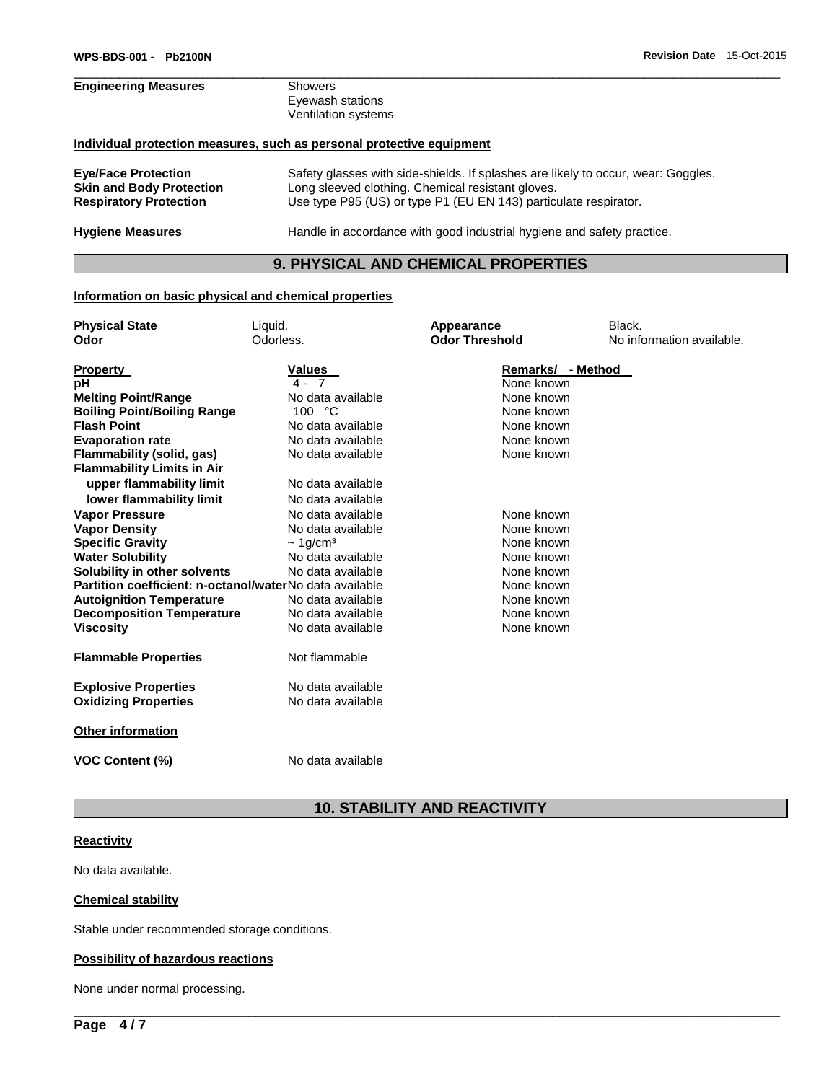# **Engineering Measures** Showers Eyewash stations Ventilation systems **Individual protection measures, such as personal protective equipment Eye/Face Protection** Safety glasses with side-shields. If splashes are likely to occur, wear: Goggles. Long sleeved clothing. Chemical resistant gloves.

**Respiratory Protection** Use type P95 (US) or type P1 (EU EN 143) particulate respirator. **Hygiene Measures** Handle in accordance with good industrial hygiene and safety practice.

## **9. PHYSICAL AND CHEMICAL PROPERTIES**

 $\Box$ 

#### **Information on basic physical and chemical properties**

| <b>Physical State</b>                                   | Liquid.                    | Appearance            | Black.                    |
|---------------------------------------------------------|----------------------------|-----------------------|---------------------------|
| Odor                                                    | Odorless.                  | <b>Odor Threshold</b> | No information available. |
|                                                         |                            |                       |                           |
| <b>Property</b>                                         | <b>Values</b>              | Remarks/ - Method     |                           |
| pH                                                      | $4 - 7$                    | None known            |                           |
| <b>Melting Point/Range</b>                              | No data available          | None known            |                           |
| <b>Boiling Point/Boiling Range</b>                      | 100 °C                     | None known            |                           |
| <b>Flash Point</b>                                      | No data available          | None known            |                           |
| <b>Evaporation rate</b>                                 | No data available          | None known            |                           |
| Flammability (solid, gas)                               | No data available          | None known            |                           |
| <b>Flammability Limits in Air</b>                       |                            |                       |                           |
| upper flammability limit                                | No data available          |                       |                           |
| lower flammability limit                                | No data available          |                       |                           |
| <b>Vapor Pressure</b>                                   | No data available          | None known            |                           |
| <b>Vapor Density</b>                                    | No data available          | None known            |                           |
| <b>Specific Gravity</b>                                 | $\sim 1$ g/cm <sup>3</sup> | None known            |                           |
| <b>Water Solubility</b>                                 | No data available          | None known            |                           |
| Solubility in other solvents                            | No data available          | None known            |                           |
| Partition coefficient: n-octanol/waterNo data available |                            | None known            |                           |
| <b>Autoignition Temperature</b>                         | No data available          | None known            |                           |
| <b>Decomposition Temperature</b>                        | No data available          | None known            |                           |
| <b>Viscosity</b>                                        | No data available          | None known            |                           |
|                                                         |                            |                       |                           |
| <b>Flammable Properties</b>                             | Not flammable              |                       |                           |
| <b>Explosive Properties</b>                             | No data available          |                       |                           |
| <b>Oxidizing Properties</b>                             | No data available          |                       |                           |
| Other information                                       |                            |                       |                           |
|                                                         |                            |                       |                           |
| <b>VOC Content (%)</b>                                  | No data available          |                       |                           |

## **10. STABILITY AND REACTIVITY**

\_\_\_\_\_\_\_\_\_\_\_\_\_\_\_\_\_\_\_\_\_\_\_\_\_\_\_\_\_\_\_\_\_\_\_\_\_\_\_\_\_\_\_\_\_\_\_\_\_\_\_\_\_\_\_\_\_\_\_\_\_\_\_\_\_\_\_\_\_\_\_\_\_\_\_\_\_\_\_\_\_\_\_\_\_\_\_\_\_\_\_\_\_

#### **Reactivity**

No data available.

#### **Chemical stability**

Stable under recommended storage conditions.

#### **Possibility of hazardous reactions**

None under normal processing.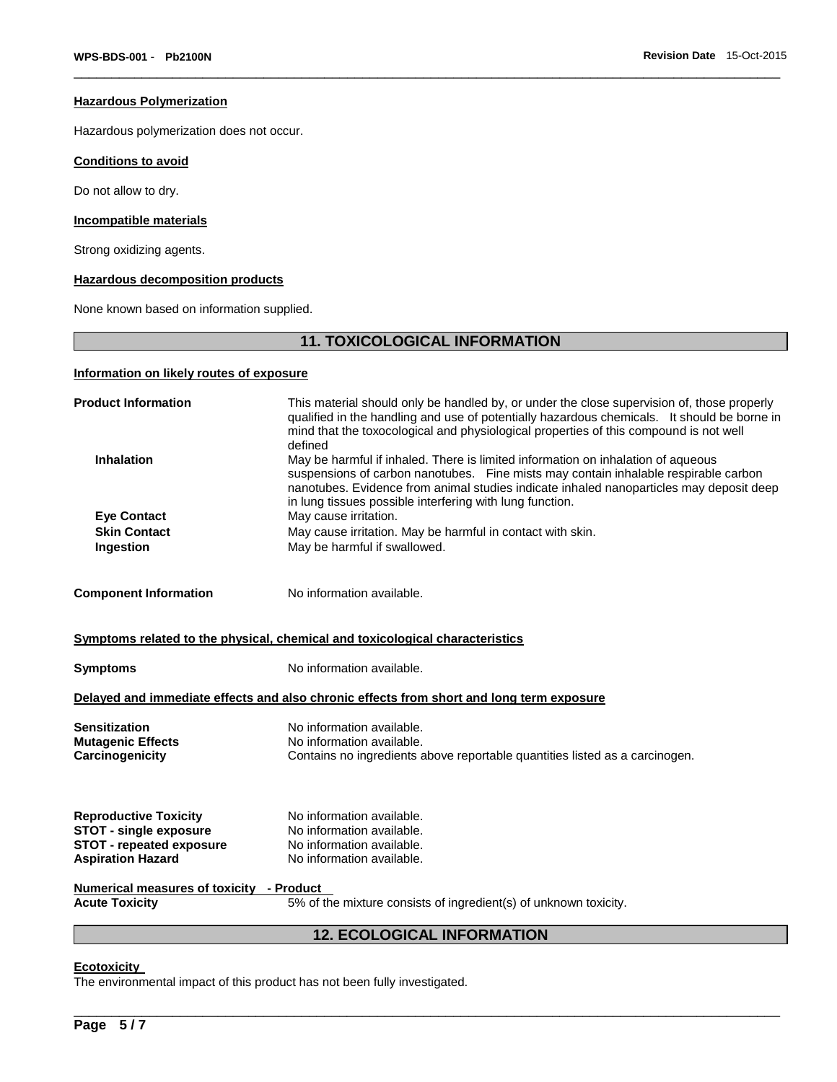#### **Hazardous Polymerization**

Hazardous polymerization does not occur.

#### **Conditions to avoid**

Do not allow to dry.

#### **Incompatible materials**

Strong oxidizing agents.

#### **Hazardous decomposition products**

None known based on information supplied.

## **11. TOXICOLOGICAL INFORMATION**

 $\Box$ 

## **Information on likely routes of exposure**

| <b>Product Information</b><br>This material should only be handled by, or under the close supervision of, those properly<br>qualified in the handling and use of potentially hazardous chemicals. It should be borne in<br>mind that the toxocological and physiological properties of this compound is not well<br>defined                         |                                                                                          |  |  |
|-----------------------------------------------------------------------------------------------------------------------------------------------------------------------------------------------------------------------------------------------------------------------------------------------------------------------------------------------------|------------------------------------------------------------------------------------------|--|--|
| <b>Inhalation</b><br>May be harmful if inhaled. There is limited information on inhalation of aqueous<br>suspensions of carbon nanotubes. Fine mists may contain inhalable respirable carbon<br>nanotubes. Evidence from animal studies indicate inhaled nanoparticles may deposit deep<br>in lung tissues possible interfering with lung function. |                                                                                          |  |  |
| <b>Eye Contact</b>                                                                                                                                                                                                                                                                                                                                  | May cause irritation.                                                                    |  |  |
| <b>Skin Contact</b>                                                                                                                                                                                                                                                                                                                                 | May cause irritation. May be harmful in contact with skin.                               |  |  |
| Ingestion                                                                                                                                                                                                                                                                                                                                           | May be harmful if swallowed.                                                             |  |  |
| <b>Component Information</b>                                                                                                                                                                                                                                                                                                                        | No information available.                                                                |  |  |
|                                                                                                                                                                                                                                                                                                                                                     | Symptoms related to the physical, chemical and toxicological characteristics             |  |  |
| <b>Symptoms</b>                                                                                                                                                                                                                                                                                                                                     | No information available.                                                                |  |  |
|                                                                                                                                                                                                                                                                                                                                                     | Delayed and immediate effects and also chronic effects from short and long term exposure |  |  |
| <b>Sensitization</b>                                                                                                                                                                                                                                                                                                                                | No information available.                                                                |  |  |
| <b>Mutagenic Effects</b>                                                                                                                                                                                                                                                                                                                            | No information available.                                                                |  |  |
| Carcinogenicity                                                                                                                                                                                                                                                                                                                                     | Contains no ingredients above reportable quantities listed as a carcinogen.              |  |  |
|                                                                                                                                                                                                                                                                                                                                                     | No information available.                                                                |  |  |
| <b>Reproductive Toxicity</b><br><b>STOT - single exposure</b>                                                                                                                                                                                                                                                                                       | No information available.                                                                |  |  |
| <b>STOT - repeated exposure</b>                                                                                                                                                                                                                                                                                                                     | No information available.                                                                |  |  |
| <b>Aspiration Hazard</b>                                                                                                                                                                                                                                                                                                                            | No information available.                                                                |  |  |
| <b>Numerical measures of toxicity - Product</b>                                                                                                                                                                                                                                                                                                     |                                                                                          |  |  |
| <b>Acute Toxicity</b>                                                                                                                                                                                                                                                                                                                               | 5% of the mixture consists of ingredient(s) of unknown toxicity.                         |  |  |
| <b>12. ECOLOGICAL INFORMATION</b>                                                                                                                                                                                                                                                                                                                   |                                                                                          |  |  |

\_\_\_\_\_\_\_\_\_\_\_\_\_\_\_\_\_\_\_\_\_\_\_\_\_\_\_\_\_\_\_\_\_\_\_\_\_\_\_\_\_\_\_\_\_\_\_\_\_\_\_\_\_\_\_\_\_\_\_\_\_\_\_\_\_\_\_\_\_\_\_\_\_\_\_\_\_\_\_\_\_\_\_\_\_\_\_\_\_\_\_\_\_

#### **Ecotoxicity**

The environmental impact of this product has not been fully investigated.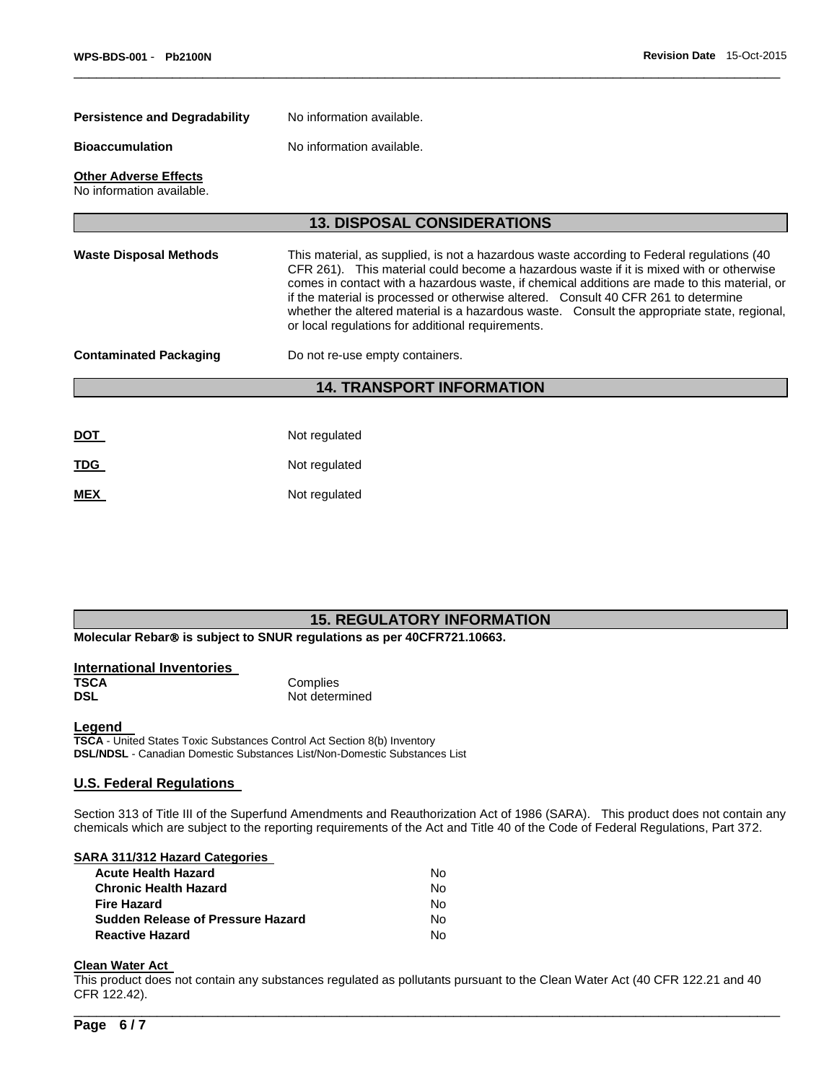| <b>Persistence and Degradability</b><br>No information available. |                                                                                                                                                                                                                                                                                                                                                                                                                                                                                                                                |  |  |  |  |
|-------------------------------------------------------------------|--------------------------------------------------------------------------------------------------------------------------------------------------------------------------------------------------------------------------------------------------------------------------------------------------------------------------------------------------------------------------------------------------------------------------------------------------------------------------------------------------------------------------------|--|--|--|--|
| <b>Bioaccumulation</b>                                            | No information available.                                                                                                                                                                                                                                                                                                                                                                                                                                                                                                      |  |  |  |  |
| <b>Other Adverse Effects</b><br>No information available.         |                                                                                                                                                                                                                                                                                                                                                                                                                                                                                                                                |  |  |  |  |
|                                                                   | <b>13. DISPOSAL CONSIDERATIONS</b>                                                                                                                                                                                                                                                                                                                                                                                                                                                                                             |  |  |  |  |
| <b>Waste Disposal Methods</b>                                     | This material, as supplied, is not a hazardous waste according to Federal regulations (40<br>CFR 261). This material could become a hazardous waste if it is mixed with or otherwise<br>comes in contact with a hazardous waste, if chemical additions are made to this material, or<br>if the material is processed or otherwise altered. Consult 40 CFR 261 to determine<br>whether the altered material is a hazardous waste. Consult the appropriate state, regional,<br>or local regulations for additional requirements. |  |  |  |  |
| <b>Contaminated Packaging</b><br>Do not re-use empty containers.  |                                                                                                                                                                                                                                                                                                                                                                                                                                                                                                                                |  |  |  |  |
|                                                                   | <b>14. TRANSPORT INFORMATION</b>                                                                                                                                                                                                                                                                                                                                                                                                                                                                                               |  |  |  |  |
|                                                                   |                                                                                                                                                                                                                                                                                                                                                                                                                                                                                                                                |  |  |  |  |
| <u>DOT</u>                                                        | Not regulated                                                                                                                                                                                                                                                                                                                                                                                                                                                                                                                  |  |  |  |  |
| <u>TDG</u>                                                        | Not regulated                                                                                                                                                                                                                                                                                                                                                                                                                                                                                                                  |  |  |  |  |
| <b>MEX</b>                                                        | Not regulated                                                                                                                                                                                                                                                                                                                                                                                                                                                                                                                  |  |  |  |  |

 $\Box$ 

## **15. REGULATORY INFORMATION**

**Molecular Rebar<sup>®</sup> is subject to SNUR regulations as per 40CFR721.10663.** 

| International Inventories |                |
|---------------------------|----------------|
| TSCA                      | Complies       |
| <b>DSL</b>                | Not determined |

#### **Legend**

**TSCA** - United States Toxic Substances Control Act Section 8(b) Inventory **DSL/NDSL** - Canadian Domestic Substances List/Non-Domestic Substances List

#### **U.S. Federal Regulations**

Section 313 of Title III of the Superfund Amendments and Reauthorization Act of 1986 (SARA). This product does not contain any chemicals which are subject to the reporting requirements of the Act and Title 40 of the Code of Federal Regulations, Part 372.

#### **SARA 311/312 Hazard Categories**

| No. |
|-----|
| N٥  |
| No. |
| No. |
| N٥  |
|     |

# **Clean Water Act**

This product does not contain any substances regulated as pollutants pursuant to the Clean Water Act (40 CFR 122.21 and 40 CFR 122.42).

\_\_\_\_\_\_\_\_\_\_\_\_\_\_\_\_\_\_\_\_\_\_\_\_\_\_\_\_\_\_\_\_\_\_\_\_\_\_\_\_\_\_\_\_\_\_\_\_\_\_\_\_\_\_\_\_\_\_\_\_\_\_\_\_\_\_\_\_\_\_\_\_\_\_\_\_\_\_\_\_\_\_\_\_\_\_\_\_\_\_\_\_\_